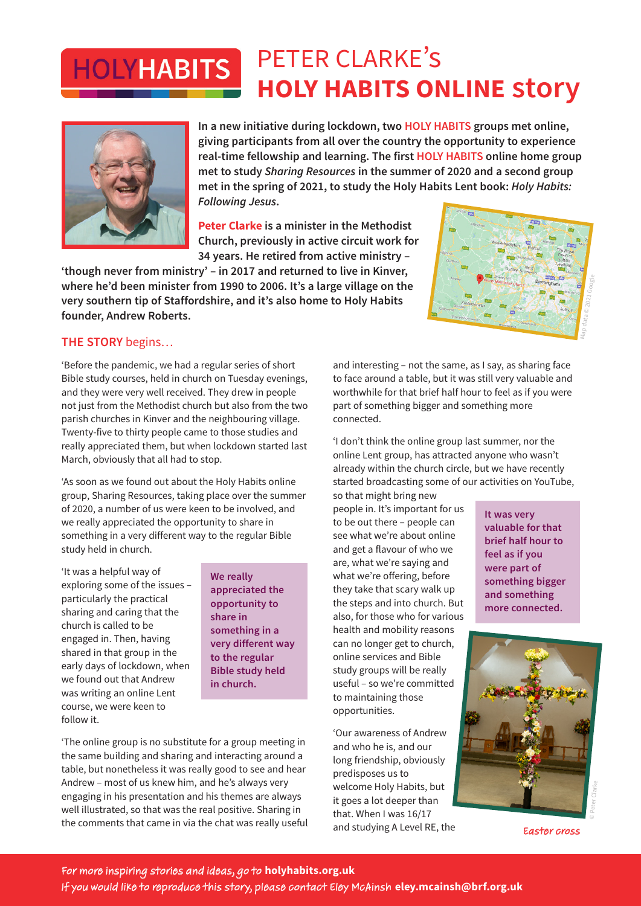## PETER CLARKE's **HOLYHABITS HOLY HABITS ONLINE story**



**In a new initiative during lockdown, two HOLY HABITS groups met online, giving participants from all over the country the opportunity to experience real-time fellowship and learning. The first HOLY HABITS online home group met to study** *Sharing Resources* **in the summer of 2020 and a second group met in the spring of 2021, to study the Holy Habits Lent book:** *Holy Habits: Following Jesus***.**

**Peter Clarke is a minister in the Methodist Church, previously in active circuit work for 34 years. He retired from active ministry –** 

**'though never from ministry' – in 2017 and returned to live in Kinver, where he'd been minister from 1990 to 2006. It's a large village on the very southern tip of Staffordshire, and it's also home to Holy Habits founder, Andrew Roberts.**



## **THE STORY** begins…

'Before the pandemic, we had a regular series of short Bible study courses, held in church on Tuesday evenings, and they were very well received. They drew in people not just from the Methodist church but also from the two parish churches in Kinver and the neighbouring village. Twenty-five to thirty people came to those studies and really appreciated them, but when lockdown started last March, obviously that all had to stop.

'As soon as we found out about the Holy Habits online group, Sharing Resources, taking place over the summer of 2020, a number of us were keen to be involved, and we really appreciated the opportunity to share in something in a very different way to the regular Bible study held in church.

'It was a helpful way of exploring some of the issues – particularly the practical sharing and caring that the church is called to be engaged in. Then, having shared in that group in the early days of lockdown, when we found out that Andrew was writing an online Lent course, we were keen to follow it.

**We really appreciated the opportunity to share in something in a very different way to the regular Bible study held in church.**

'The online group is no substitute for a group meeting in the same building and sharing and interacting around a table, but nonetheless it was really good to see and hear Andrew – most of us knew him, and he's always very engaging in his presentation and his themes are always well illustrated, so that was the real positive. Sharing in the comments that came in via the chat was really useful and interesting – not the same, as I say, as sharing face to face around a table, but it was still very valuable and worthwhile for that brief half hour to feel as if you were part of something bigger and something more connected.

'I don't think the online group last summer, nor the online Lent group, has attracted anyone who wasn't already within the church circle, but we have recently started broadcasting some of our activities on YouTube,

so that might bring new people in. It's important for us to be out there – people can see what we're about online and get a flavour of who we are, what we're saying and what we're offering, before they take that scary walk up the steps and into church. But also, for those who for various health and mobility reasons can no longer get to church, online services and Bible study groups will be really useful – so we're committed to maintaining those opportunities.

'Our awareness of Andrew and who he is, and our long friendship, obviously predisposes us to welcome Holy Habits, but it goes a lot deeper than that. When I was 16/17 and studying A Level RE, the **It was very valuable for that brief half hour to feel as if you were part of something bigger and something more connected.**



Easter cross